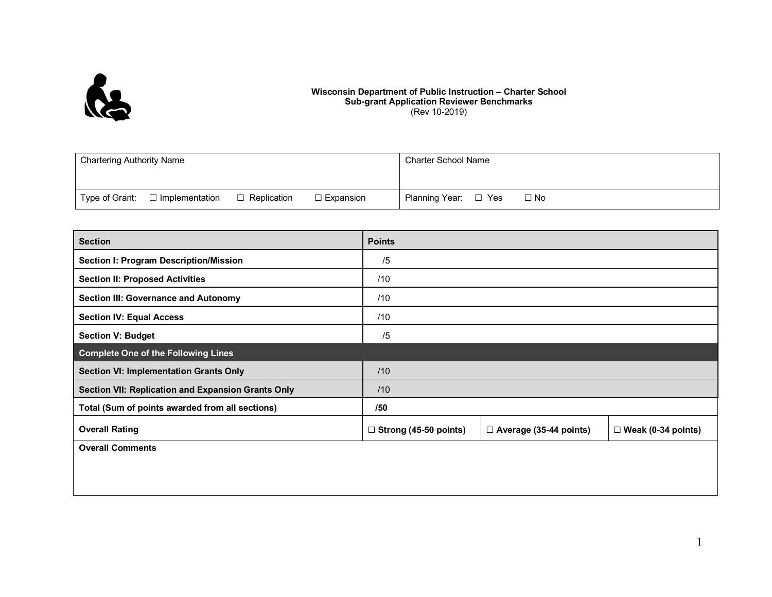

## **Wisconsin Department of Public Instruction – Charter School Sub-grant Application Reviewer Benchmarks** (Rev 10-2019)

| <b>Chartering Authority Name</b>        |                    |                  | Charter School Name          |
|-----------------------------------------|--------------------|------------------|------------------------------|
|                                         |                    |                  |                              |
| Type of Grant:<br>$\Box$ Implementation | $\Box$ Replication | $\Box$ Expansion | Planning Year: □ Yes<br>□ No |

| <b>Section</b>                                     | <b>Points</b>                |                               |                           |  |  |  |
|----------------------------------------------------|------------------------------|-------------------------------|---------------------------|--|--|--|
| Section I: Program Description/Mission             | /5                           |                               |                           |  |  |  |
| <b>Section II: Proposed Activities</b>             | /10                          |                               |                           |  |  |  |
| <b>Section III: Governance and Autonomy</b>        | /10                          |                               |                           |  |  |  |
| <b>Section IV: Equal Access</b>                    | /10                          |                               |                           |  |  |  |
| <b>Section V: Budget</b>                           | /5                           |                               |                           |  |  |  |
| <b>Complete One of the Following Lines</b>         |                              |                               |                           |  |  |  |
| <b>Section VI: Implementation Grants Only</b>      | /10                          |                               |                           |  |  |  |
| Section VII: Replication and Expansion Grants Only | /10                          |                               |                           |  |  |  |
| Total (Sum of points awarded from all sections)    | /50                          |                               |                           |  |  |  |
| <b>Overall Rating</b>                              | $\Box$ Strong (45-50 points) | $\Box$ Average (35-44 points) | $\Box$ Weak (0-34 points) |  |  |  |
| <b>Overall Comments</b>                            |                              |                               |                           |  |  |  |
|                                                    |                              |                               |                           |  |  |  |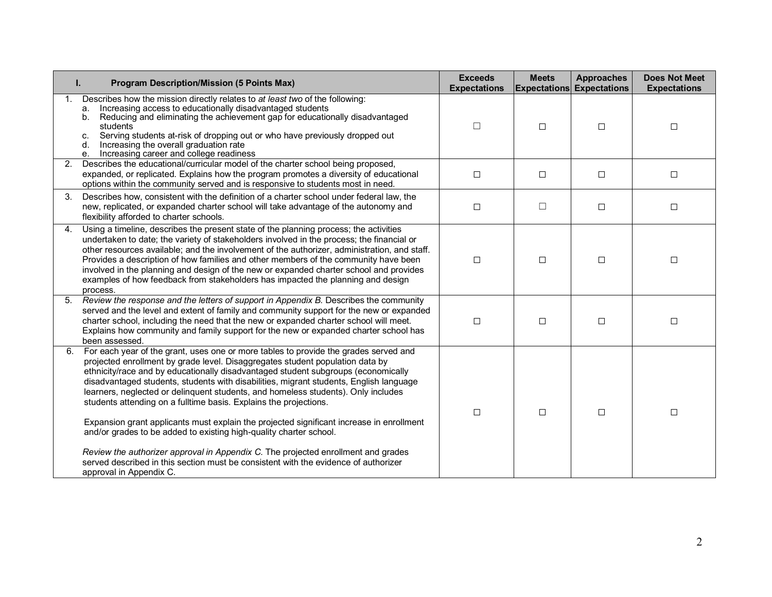| <b>Program Description/Mission (5 Points Max)</b><br>ı.                                                                                                                                                                                                                                                                                                                                                                                                                                                                                                                                                                                                                                                                                                                                                                                                                                    | <b>Exceeds</b><br><b>Expectations</b> | <b>Meets</b> | <b>Approaches</b><br><b>Expectations Expectations</b> | <b>Does Not Meet</b><br><b>Expectations</b> |
|--------------------------------------------------------------------------------------------------------------------------------------------------------------------------------------------------------------------------------------------------------------------------------------------------------------------------------------------------------------------------------------------------------------------------------------------------------------------------------------------------------------------------------------------------------------------------------------------------------------------------------------------------------------------------------------------------------------------------------------------------------------------------------------------------------------------------------------------------------------------------------------------|---------------------------------------|--------------|-------------------------------------------------------|---------------------------------------------|
| Describes how the mission directly relates to at least two of the following:<br>Increasing access to educationally disadvantaged students<br>а.<br>Reducing and eliminating the achievement gap for educationally disadvantaged<br>b.<br>students<br>Serving students at-risk of dropping out or who have previously dropped out<br>c.<br>Increasing the overall graduation rate<br>d.<br>Increasing career and college readiness<br>е.                                                                                                                                                                                                                                                                                                                                                                                                                                                    | П                                     | $\Box$       | $\Box$                                                | $\Box$                                      |
| Describes the educational/curricular model of the charter school being proposed,<br>2.<br>expanded, or replicated. Explains how the program promotes a diversity of educational<br>options within the community served and is responsive to students most in need.                                                                                                                                                                                                                                                                                                                                                                                                                                                                                                                                                                                                                         | $\Box$                                | $\Box$       | $\Box$                                                | $\Box$                                      |
| Describes how, consistent with the definition of a charter school under federal law, the<br>3.<br>new, replicated, or expanded charter school will take advantage of the autonomy and<br>flexibility afforded to charter schools.                                                                                                                                                                                                                                                                                                                                                                                                                                                                                                                                                                                                                                                          | $\Box$                                | $\Box$       | $\Box$                                                | $\Box$                                      |
| Using a timeline, describes the present state of the planning process; the activities<br>4.<br>undertaken to date; the variety of stakeholders involved in the process; the financial or<br>other resources available; and the involvement of the authorizer, administration, and staff.<br>Provides a description of how families and other members of the community have been<br>involved in the planning and design of the new or expanded charter school and provides<br>examples of how feedback from stakeholders has impacted the planning and design<br>process.                                                                                                                                                                                                                                                                                                                   | $\Box$                                | $\Box$       | $\Box$                                                | $\Box$                                      |
| Review the response and the letters of support in Appendix B. Describes the community<br>served and the level and extent of family and community support for the new or expanded<br>charter school, including the need that the new or expanded charter school will meet.<br>Explains how community and family support for the new or expanded charter school has<br>been assessed.                                                                                                                                                                                                                                                                                                                                                                                                                                                                                                        | $\Box$                                | $\Box$       | $\Box$                                                | $\Box$                                      |
| 6. For each year of the grant, uses one or more tables to provide the grades served and<br>projected enrollment by grade level. Disaggregates student population data by<br>ethnicity/race and by educationally disadvantaged student subgroups (economically<br>disadvantaged students, students with disabilities, migrant students, English language<br>learners, neglected or delinquent students, and homeless students). Only includes<br>students attending on a fulltime basis. Explains the projections.<br>Expansion grant applicants must explain the projected significant increase in enrollment<br>and/or grades to be added to existing high-quality charter school.<br>Review the authorizer approval in Appendix C. The projected enrollment and grades<br>served described in this section must be consistent with the evidence of authorizer<br>approval in Appendix C. | $\Box$                                | $\Box$       | $\Box$                                                | $\Box$                                      |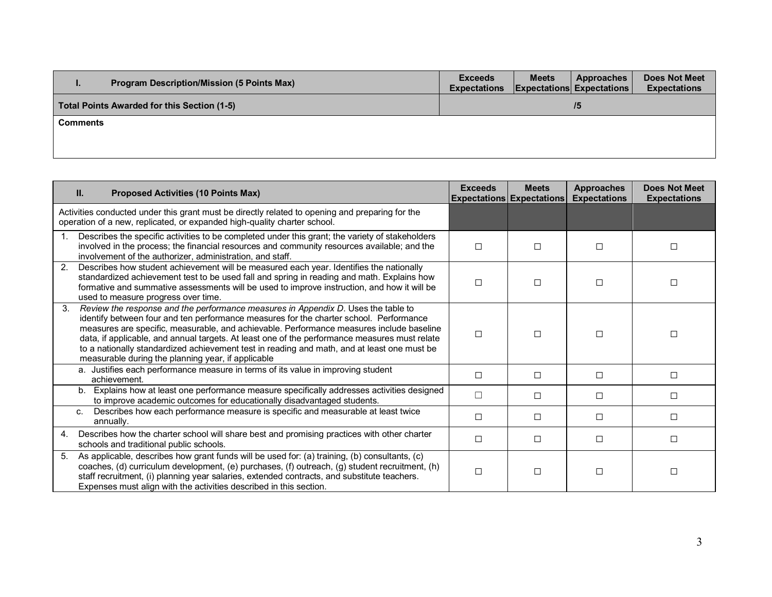| <b>Program Description/Mission (5 Points Max)</b><br>. . | <b>Exceeds</b><br><b>Expectations</b> | <b>Meets</b> | <b>Approaches</b><br><b>Expectations Expectations</b> | <b>Does Not Meet</b><br><b>Expectations</b> |  |
|----------------------------------------------------------|---------------------------------------|--------------|-------------------------------------------------------|---------------------------------------------|--|
| Total Points Awarded for this Section (1-5)              | 75                                    |              |                                                       |                                             |  |
| Comments                                                 |                                       |              |                                                       |                                             |  |
|                                                          |                                       |              |                                                       |                                             |  |

|    | II.<br><b>Proposed Activities (10 Points Max)</b>                                                                                                                                                                                                                                                                                                                                                                                                                                                                             | <b>Exceeds</b> | <b>Meets</b><br><b>Expectations Expectations</b> | <b>Approaches</b><br><b>Expectations</b> | <b>Does Not Meet</b><br><b>Expectations</b> |
|----|-------------------------------------------------------------------------------------------------------------------------------------------------------------------------------------------------------------------------------------------------------------------------------------------------------------------------------------------------------------------------------------------------------------------------------------------------------------------------------------------------------------------------------|----------------|--------------------------------------------------|------------------------------------------|---------------------------------------------|
|    | Activities conducted under this grant must be directly related to opening and preparing for the<br>operation of a new, replicated, or expanded high-quality charter school.                                                                                                                                                                                                                                                                                                                                                   |                |                                                  |                                          |                                             |
|    | Describes the specific activities to be completed under this grant; the variety of stakeholders<br>involved in the process; the financial resources and community resources available; and the<br>involvement of the authorizer, administration, and staff.                                                                                                                                                                                                                                                                   | П              | П                                                | П                                        | $\Box$                                      |
| 2. | Describes how student achievement will be measured each year. Identifies the nationally<br>standardized achievement test to be used fall and spring in reading and math. Explains how<br>formative and summative assessments will be used to improve instruction, and how it will be<br>used to measure progress over time.                                                                                                                                                                                                   | П              | П                                                | П                                        | П                                           |
| 3. | Review the response and the performance measures in Appendix D. Uses the table to<br>identify between four and ten performance measures for the charter school. Performance<br>measures are specific, measurable, and achievable. Performance measures include baseline<br>data, if applicable, and annual targets. At least one of the performance measures must relate<br>to a nationally standardized achievement test in reading and math, and at least one must be<br>measurable during the planning year, if applicable | П              | П                                                | П                                        | П                                           |
|    | a. Justifies each performance measure in terms of its value in improving student<br>achievement.                                                                                                                                                                                                                                                                                                                                                                                                                              | $\Box$         | $\Box$                                           | П                                        | П                                           |
|    | Explains how at least one performance measure specifically addresses activities designed<br>$b_{-}$<br>to improve academic outcomes for educationally disadvantaged students.                                                                                                                                                                                                                                                                                                                                                 | □              | □                                                | П                                        | □                                           |
|    | Describes how each performance measure is specific and measurable at least twice<br>C.<br>annually.                                                                                                                                                                                                                                                                                                                                                                                                                           | $\Box$         | $\Box$                                           | П                                        | □                                           |
| 4. | Describes how the charter school will share best and promising practices with other charter<br>schools and traditional public schools.                                                                                                                                                                                                                                                                                                                                                                                        | П              | $\Box$                                           | П                                        | П                                           |
| 5. | As applicable, describes how grant funds will be used for: (a) training, (b) consultants, (c)<br>coaches, (d) curriculum development, (e) purchases, (f) outreach, (g) student recruitment, (h)<br>staff recruitment, (i) planning year salaries, extended contracts, and substitute teachers.<br>Expenses must align with the activities described in this section.                                                                                                                                                          | $\Box$         | $\Box$                                           | $\Box$                                   | □                                           |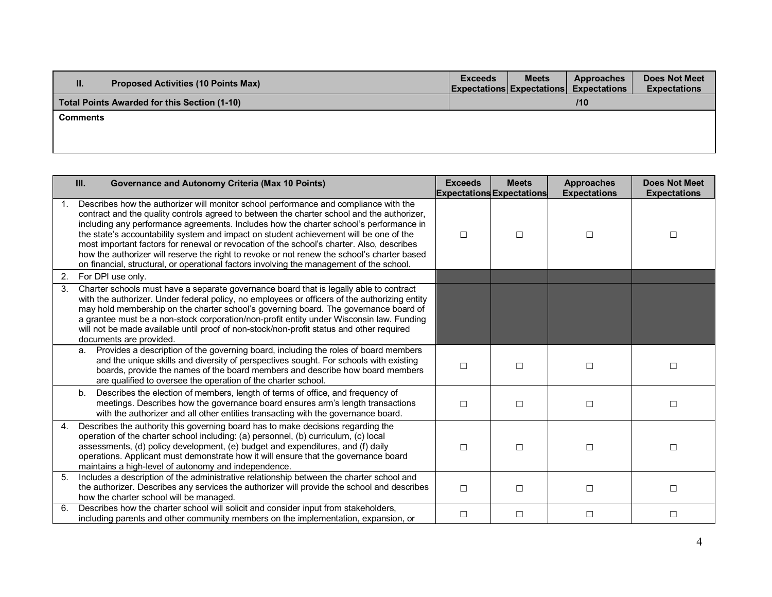| н.<br><b>Proposed Activities (10 Points Max)</b> | <b>Exceeds</b> | <b>Meets</b> | <b>Approaches</b><br><b>Expectations Expectations Expectations</b> | <b>Does Not Meet</b><br><b>Expectations</b> |
|--------------------------------------------------|----------------|--------------|--------------------------------------------------------------------|---------------------------------------------|
| Total Points Awarded for this Section (1-10)     |                |              | 110                                                                |                                             |
| Comments                                         |                |              |                                                                    |                                             |
|                                                  |                |              |                                                                    |                                             |
|                                                  |                |              |                                                                    |                                             |

|    | III.<br><b>Governance and Autonomy Criteria (Max 10 Points)</b>                                                                                                                                                                                                                                                                                                                                                                                                                                                                                                                                                                                                | <b>Exceeds</b> | <b>Meets</b><br><b>Expectations Expectations</b> | <b>Approaches</b><br><b>Expectations</b> | <b>Does Not Meet</b><br><b>Expectations</b> |
|----|----------------------------------------------------------------------------------------------------------------------------------------------------------------------------------------------------------------------------------------------------------------------------------------------------------------------------------------------------------------------------------------------------------------------------------------------------------------------------------------------------------------------------------------------------------------------------------------------------------------------------------------------------------------|----------------|--------------------------------------------------|------------------------------------------|---------------------------------------------|
| 1. | Describes how the authorizer will monitor school performance and compliance with the<br>contract and the quality controls agreed to between the charter school and the authorizer,<br>including any performance agreements. Includes how the charter school's performance in<br>the state's accountability system and impact on student achievement will be one of the<br>most important factors for renewal or revocation of the school's charter. Also, describes<br>how the authorizer will reserve the right to revoke or not renew the school's charter based<br>on financial, structural, or operational factors involving the management of the school. | $\Box$         | $\Box$                                           | □                                        | □                                           |
| 2. | For DPI use only.                                                                                                                                                                                                                                                                                                                                                                                                                                                                                                                                                                                                                                              |                |                                                  |                                          |                                             |
| 3. | Charter schools must have a separate governance board that is legally able to contract<br>with the authorizer. Under federal policy, no employees or officers of the authorizing entity<br>may hold membership on the charter school's governing board. The governance board of<br>a grantee must be a non-stock corporation/non-profit entity under Wisconsin law. Funding<br>will not be made available until proof of non-stock/non-profit status and other required<br>documents are provided.                                                                                                                                                             |                |                                                  |                                          |                                             |
|    | Provides a description of the governing board, including the roles of board members<br>a.<br>and the unique skills and diversity of perspectives sought. For schools with existing<br>boards, provide the names of the board members and describe how board members<br>are qualified to oversee the operation of the charter school.                                                                                                                                                                                                                                                                                                                           | $\Box$         | $\Box$                                           | $\Box$                                   | □                                           |
|    | Describes the election of members, length of terms of office, and frequency of<br>b.<br>meetings. Describes how the governance board ensures arm's length transactions<br>with the authorizer and all other entities transacting with the governance board.                                                                                                                                                                                                                                                                                                                                                                                                    | $\Box$         | $\Box$                                           | $\Box$                                   | $\Box$                                      |
| 4. | Describes the authority this governing board has to make decisions regarding the<br>operation of the charter school including: (a) personnel, (b) curriculum, (c) local<br>assessments, (d) policy development, (e) budget and expenditures, and (f) daily<br>operations. Applicant must demonstrate how it will ensure that the governance board<br>maintains a high-level of autonomy and independence.                                                                                                                                                                                                                                                      | $\Box$         | $\Box$                                           | $\Box$                                   | □                                           |
| 5. | Includes a description of the administrative relationship between the charter school and<br>the authorizer. Describes any services the authorizer will provide the school and describes<br>how the charter school will be managed.                                                                                                                                                                                                                                                                                                                                                                                                                             | □              | $\Box$                                           | □                                        | □                                           |
| 6. | Describes how the charter school will solicit and consider input from stakeholders,<br>including parents and other community members on the implementation, expansion, or                                                                                                                                                                                                                                                                                                                                                                                                                                                                                      | $\Box$         | $\Box$                                           | $\Box$                                   | □                                           |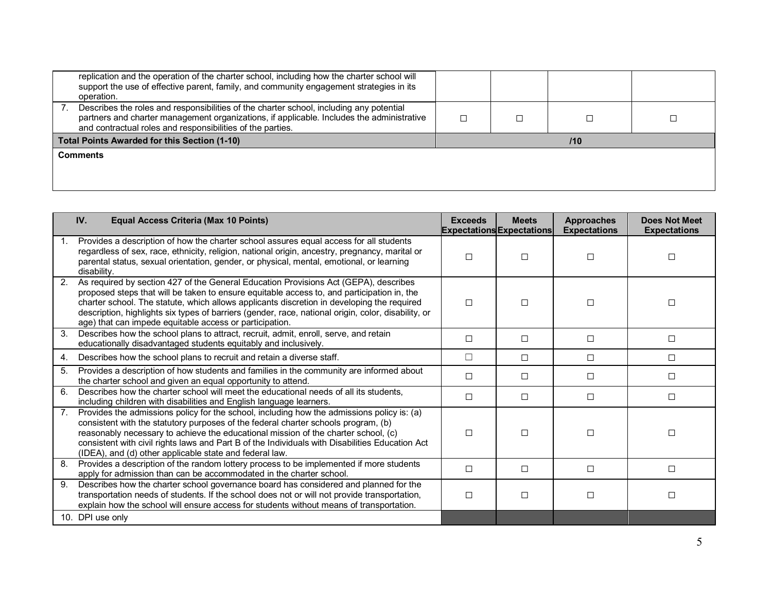| replication and the operation of the charter school, including how the charter school will<br>support the use of effective parent, family, and community engagement strategies in its<br>operation.                                                |  |     |  |
|----------------------------------------------------------------------------------------------------------------------------------------------------------------------------------------------------------------------------------------------------|--|-----|--|
| Describes the roles and responsibilities of the charter school, including any potential<br>partners and charter management organizations, if applicable. Includes the administrative<br>and contractual roles and responsibilities of the parties. |  |     |  |
| <b>Total Points Awarded for this Section (1-10)</b>                                                                                                                                                                                                |  | 110 |  |
| <b>Comments</b>                                                                                                                                                                                                                                    |  |     |  |
|                                                                                                                                                                                                                                                    |  |     |  |
|                                                                                                                                                                                                                                                    |  |     |  |

|                | <b>Equal Access Criteria (Max 10 Points)</b><br>IV.                                                                                                                                                                                                                                                                                                                                                                                                | <b>Exceeds</b> | <b>Meets</b><br><b>Expectations Expectations</b> | <b>Approaches</b><br><b>Expectations</b> | <b>Does Not Meet</b><br><b>Expectations</b> |
|----------------|----------------------------------------------------------------------------------------------------------------------------------------------------------------------------------------------------------------------------------------------------------------------------------------------------------------------------------------------------------------------------------------------------------------------------------------------------|----------------|--------------------------------------------------|------------------------------------------|---------------------------------------------|
| 1.             | Provides a description of how the charter school assures equal access for all students<br>regardless of sex, race, ethnicity, religion, national origin, ancestry, pregnancy, marital or<br>parental status, sexual orientation, gender, or physical, mental, emotional, or learning<br>disability.                                                                                                                                                |                | П                                                | П                                        | П                                           |
| 2.             | As required by section 427 of the General Education Provisions Act (GEPA), describes<br>proposed steps that will be taken to ensure equitable access to, and participation in, the<br>charter school. The statute, which allows applicants discretion in developing the required<br>description, highlights six types of barriers (gender, race, national origin, color, disability, or<br>age) that can impede equitable access or participation. | П              | п                                                | П                                        | П                                           |
| 3 <sub>1</sub> | Describes how the school plans to attract, recruit, admit, enroll, serve, and retain<br>educationally disadvantaged students equitably and inclusively.                                                                                                                                                                                                                                                                                            | П              | П                                                | П                                        | П                                           |
| 4.             | Describes how the school plans to recruit and retain a diverse staff.                                                                                                                                                                                                                                                                                                                                                                              | $\perp$        | $\Box$                                           | □                                        | □                                           |
| 5.             | Provides a description of how students and families in the community are informed about<br>the charter school and given an equal opportunity to attend.                                                                                                                                                                                                                                                                                            | П              | $\Box$                                           | □                                        | П                                           |
| 6.             | Describes how the charter school will meet the educational needs of all its students,<br>including children with disabilities and English language learners.                                                                                                                                                                                                                                                                                       | $\Box$         | □                                                | □                                        | П                                           |
| 7 <sub>1</sub> | Provides the admissions policy for the school, including how the admissions policy is: (a)<br>consistent with the statutory purposes of the federal charter schools program, (b)<br>reasonably necessary to achieve the educational mission of the charter school, (c)<br>consistent with civil rights laws and Part B of the Individuals with Disabilities Education Act<br>(IDEA), and (d) other applicable state and federal law.               | П              | П                                                | П                                        | П                                           |
| 8.             | Provides a description of the random lottery process to be implemented if more students<br>apply for admission than can be accommodated in the charter school.                                                                                                                                                                                                                                                                                     | $\Box$         | П                                                | П                                        | П                                           |
| 9.             | Describes how the charter school governance board has considered and planned for the<br>transportation needs of students. If the school does not or will not provide transportation,<br>explain how the school will ensure access for students without means of transportation.                                                                                                                                                                    | $\Box$         | $\Box$                                           | $\Box$                                   | П                                           |
|                | 10. DPI use only                                                                                                                                                                                                                                                                                                                                                                                                                                   |                |                                                  |                                          |                                             |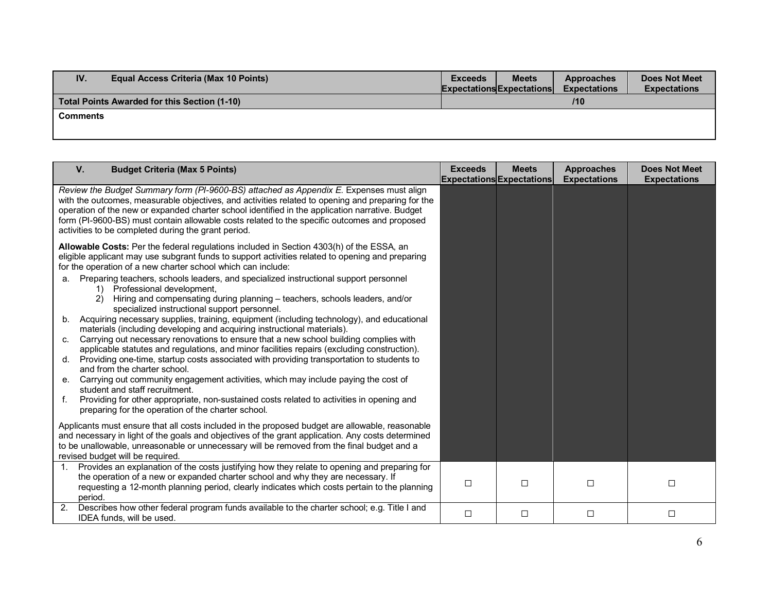| IV.             | <b>Equal Access Criteria (Max 10 Points)</b> | <b>Does Not Meet</b><br><b>Meets</b><br><b>Exceeds</b><br>Approaches<br><b>Expectations</b><br><b>Expectations</b><br><b>Expectations Expectations</b> |
|-----------------|----------------------------------------------|--------------------------------------------------------------------------------------------------------------------------------------------------------|
|                 | Total Points Awarded for this Section (1-10) | 110                                                                                                                                                    |
| <b>Comments</b> |                                              |                                                                                                                                                        |
|                 |                                              |                                                                                                                                                        |

| V.<br><b>Budget Criteria (Max 5 Points)</b>                                                                                                                                                                                                                                                                                                                                                                                                                                                                                                                                                                                                                                                                                                                                                                                                                                                                                                                                                                                                                                                                                                                                                                                                                                                                                  | <b>Exceeds</b> | <b>Meets</b><br><b>Expectations Expectations</b> | <b>Approaches</b><br><b>Expectations</b> | <b>Does Not Meet</b><br><b>Expectations</b> |
|------------------------------------------------------------------------------------------------------------------------------------------------------------------------------------------------------------------------------------------------------------------------------------------------------------------------------------------------------------------------------------------------------------------------------------------------------------------------------------------------------------------------------------------------------------------------------------------------------------------------------------------------------------------------------------------------------------------------------------------------------------------------------------------------------------------------------------------------------------------------------------------------------------------------------------------------------------------------------------------------------------------------------------------------------------------------------------------------------------------------------------------------------------------------------------------------------------------------------------------------------------------------------------------------------------------------------|----------------|--------------------------------------------------|------------------------------------------|---------------------------------------------|
| Review the Budget Summary form (PI-9600-BS) attached as Appendix E. Expenses must align<br>with the outcomes, measurable objectives, and activities related to opening and preparing for the<br>operation of the new or expanded charter school identified in the application narrative. Budget<br>form (PI-9600-BS) must contain allowable costs related to the specific outcomes and proposed<br>activities to be completed during the grant period.                                                                                                                                                                                                                                                                                                                                                                                                                                                                                                                                                                                                                                                                                                                                                                                                                                                                       |                |                                                  |                                          |                                             |
| Allowable Costs: Per the federal regulations included in Section 4303(h) of the ESSA, an<br>eligible applicant may use subgrant funds to support activities related to opening and preparing<br>for the operation of a new charter school which can include:<br>Preparing teachers, schools leaders, and specialized instructional support personnel<br>a.<br>Professional development,<br>Hiring and compensating during planning - teachers, schools leaders, and/or<br>specialized instructional support personnel.<br>Acquiring necessary supplies, training, equipment (including technology), and educational<br>b.<br>materials (including developing and acquiring instructional materials).<br>Carrying out necessary renovations to ensure that a new school building complies with<br>C.<br>applicable statutes and regulations, and minor facilities repairs (excluding construction).<br>Providing one-time, startup costs associated with providing transportation to students to<br>d.<br>and from the charter school.<br>Carrying out community engagement activities, which may include paying the cost of<br>е.<br>student and staff recruitment.<br>Providing for other appropriate, non-sustained costs related to activities in opening and<br>f.<br>preparing for the operation of the charter school. |                |                                                  |                                          |                                             |
| Applicants must ensure that all costs included in the proposed budget are allowable, reasonable<br>and necessary in light of the goals and objectives of the grant application. Any costs determined<br>to be unallowable, unreasonable or unnecessary will be removed from the final budget and a<br>revised budget will be required.                                                                                                                                                                                                                                                                                                                                                                                                                                                                                                                                                                                                                                                                                                                                                                                                                                                                                                                                                                                       |                |                                                  |                                          |                                             |
| Provides an explanation of the costs justifying how they relate to opening and preparing for<br>1.<br>the operation of a new or expanded charter school and why they are necessary. If<br>requesting a 12-month planning period, clearly indicates which costs pertain to the planning<br>period.                                                                                                                                                                                                                                                                                                                                                                                                                                                                                                                                                                                                                                                                                                                                                                                                                                                                                                                                                                                                                            | П              | $\Box$                                           | $\Box$                                   | $\Box$                                      |
| Describes how other federal program funds available to the charter school; e.g. Title I and<br>2.<br>IDEA funds, will be used.                                                                                                                                                                                                                                                                                                                                                                                                                                                                                                                                                                                                                                                                                                                                                                                                                                                                                                                                                                                                                                                                                                                                                                                               | $\Box$         | $\Box$                                           | $\Box$                                   | $\Box$                                      |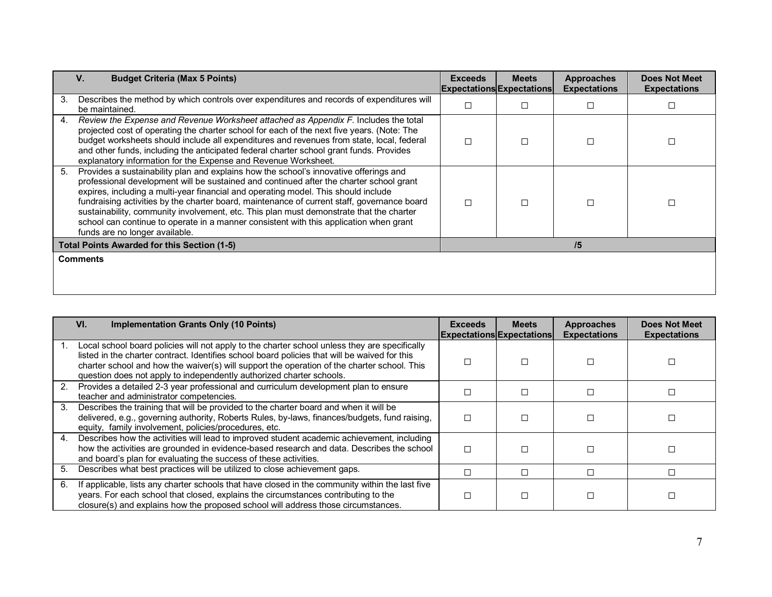| V.<br><b>Budget Criteria (Max 5 Points)</b>                                                                                                                                                                                                                                                                                                                                                                                                                                                                                                                                                        | <b>Exceeds</b> | <b>Meets</b><br><b>Expectations Expectations</b> | <b>Approaches</b><br><b>Expectations</b> | <b>Does Not Meet</b><br><b>Expectations</b> |
|----------------------------------------------------------------------------------------------------------------------------------------------------------------------------------------------------------------------------------------------------------------------------------------------------------------------------------------------------------------------------------------------------------------------------------------------------------------------------------------------------------------------------------------------------------------------------------------------------|----------------|--------------------------------------------------|------------------------------------------|---------------------------------------------|
| Describes the method by which controls over expenditures and records of expenditures will<br>3.<br>be maintained.                                                                                                                                                                                                                                                                                                                                                                                                                                                                                  |                |                                                  | □                                        |                                             |
| Review the Expense and Revenue Worksheet attached as Appendix F. Includes the total<br>4.<br>projected cost of operating the charter school for each of the next five years. (Note: The<br>budget worksheets should include all expenditures and revenues from state, local, federal<br>and other funds, including the anticipated federal charter school grant funds. Provides<br>explanatory information for the Expense and Revenue Worksheet.                                                                                                                                                  |                |                                                  | □                                        |                                             |
| Provides a sustainability plan and explains how the school's innovative offerings and<br>5.<br>professional development will be sustained and continued after the charter school grant<br>expires, including a multi-year financial and operating model. This should include<br>fundraising activities by the charter board, maintenance of current staff, governance board<br>sustainability, community involvement, etc. This plan must demonstrate that the charter<br>school can continue to operate in a manner consistent with this application when grant<br>funds are no longer available. |                |                                                  | П                                        |                                             |
| <b>Total Points Awarded for this Section (1-5)</b>                                                                                                                                                                                                                                                                                                                                                                                                                                                                                                                                                 |                |                                                  | /5                                       |                                             |
| <b>Comments</b>                                                                                                                                                                                                                                                                                                                                                                                                                                                                                                                                                                                    |                |                                                  |                                          |                                             |

|    | VI.<br><b>Implementation Grants Only (10 Points)</b>                                                                                                                                                                                                                                                                                                                  | <b>Exceeds</b> | <b>Meets</b><br><b>Expectations Expectations</b> | <b>Approaches</b><br><b>Expectations</b> | <b>Does Not Meet</b><br><b>Expectations</b> |
|----|-----------------------------------------------------------------------------------------------------------------------------------------------------------------------------------------------------------------------------------------------------------------------------------------------------------------------------------------------------------------------|----------------|--------------------------------------------------|------------------------------------------|---------------------------------------------|
|    | Local school board policies will not apply to the charter school unless they are specifically<br>listed in the charter contract. Identifies school board policies that will be waived for this<br>charter school and how the waiver(s) will support the operation of the charter school. This<br>question does not apply to independently authorized charter schools. |                |                                                  |                                          |                                             |
| 2. | Provides a detailed 2-3 year professional and curriculum development plan to ensure<br>teacher and administrator competencies.                                                                                                                                                                                                                                        |                |                                                  |                                          |                                             |
| 3. | Describes the training that will be provided to the charter board and when it will be<br>delivered, e.g., governing authority, Roberts Rules, by-laws, finances/budgets, fund raising,<br>equity, family involvement, policies/procedures, etc.                                                                                                                       |                |                                                  |                                          |                                             |
| 4. | Describes how the activities will lead to improved student academic achievement, including<br>how the activities are grounded in evidence-based research and data. Describes the school<br>and board's plan for evaluating the success of these activities.                                                                                                           |                |                                                  |                                          |                                             |
| 5. | Describes what best practices will be utilized to close achievement gaps.                                                                                                                                                                                                                                                                                             |                |                                                  | П                                        |                                             |
| 6. | If applicable, lists any charter schools that have closed in the community within the last five<br>years. For each school that closed, explains the circumstances contributing to the<br>closure(s) and explains how the proposed school will address those circumstances.                                                                                            |                |                                                  |                                          |                                             |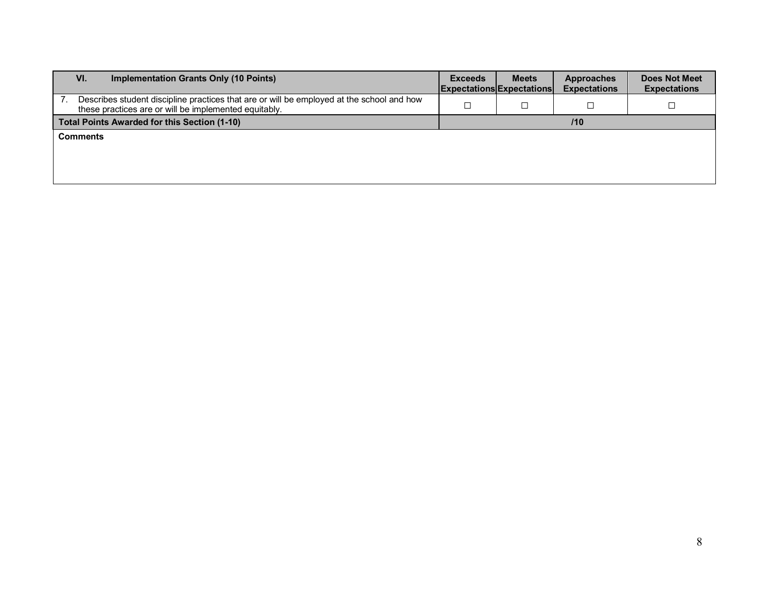| VI.<br>Implementation Grants Only (10 Points)                                                                                                      | <b>Exceeds</b> | <b>Meets</b><br><b>Expectations Expectations</b> | <b>Approaches</b><br><b>Expectations</b> | <b>Does Not Meet</b><br><b>Expectations</b> |  |
|----------------------------------------------------------------------------------------------------------------------------------------------------|----------------|--------------------------------------------------|------------------------------------------|---------------------------------------------|--|
| Describes student discipline practices that are or will be employed at the school and how<br>these practices are or will be implemented equitably. |                |                                                  |                                          |                                             |  |
| Total Points Awarded for this Section (1-10)                                                                                                       |                | 110                                              |                                          |                                             |  |
| <b>Comments</b>                                                                                                                                    |                |                                                  |                                          |                                             |  |
|                                                                                                                                                    |                |                                                  |                                          |                                             |  |
|                                                                                                                                                    |                |                                                  |                                          |                                             |  |
|                                                                                                                                                    |                |                                                  |                                          |                                             |  |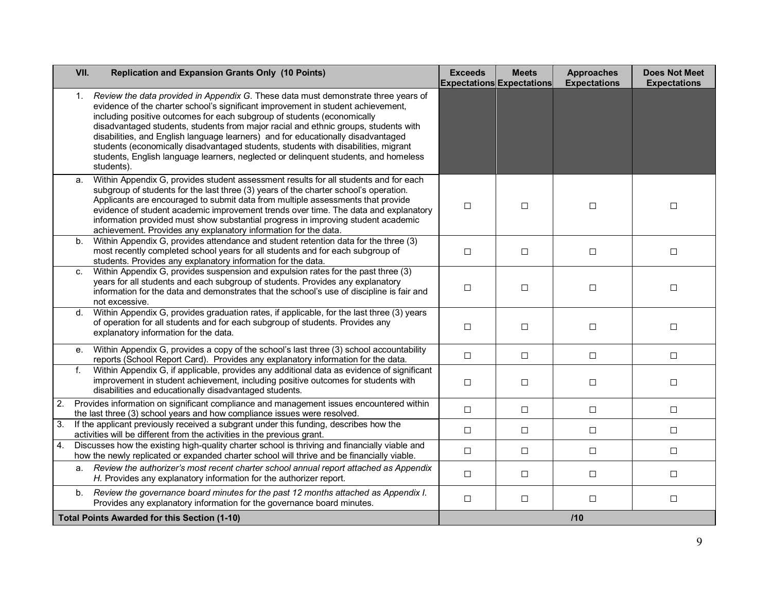|    | VII. | <b>Replication and Expansion Grants Only (10 Points)</b>                                                                                                                                                                                                                                                                                                                                                                                                                                                                                                                                                                | <b>Exceeds</b><br><b>Expectations Expectations</b> | <b>Meets</b> | <b>Approaches</b><br><b>Expectations</b> | <b>Does Not Meet</b><br><b>Expectations</b> |
|----|------|-------------------------------------------------------------------------------------------------------------------------------------------------------------------------------------------------------------------------------------------------------------------------------------------------------------------------------------------------------------------------------------------------------------------------------------------------------------------------------------------------------------------------------------------------------------------------------------------------------------------------|----------------------------------------------------|--------------|------------------------------------------|---------------------------------------------|
|    | 1.   | Review the data provided in Appendix G. These data must demonstrate three years of<br>evidence of the charter school's significant improvement in student achievement,<br>including positive outcomes for each subgroup of students (economically<br>disadvantaged students, students from major racial and ethnic groups, students with<br>disabilities, and English language learners) and for educationally disadvantaged<br>students (economically disadvantaged students, students with disabilities, migrant<br>students, English language learners, neglected or delinquent students, and homeless<br>students). |                                                    |              |                                          |                                             |
|    | a.   | Within Appendix G, provides student assessment results for all students and for each<br>subgroup of students for the last three (3) years of the charter school's operation.<br>Applicants are encouraged to submit data from multiple assessments that provide<br>evidence of student academic improvement trends over time. The data and explanatory<br>information provided must show substantial progress in improving student academic<br>achievement. Provides any explanatory information for the data.                                                                                                          | $\Box$                                             | $\Box$       | $\Box$                                   | $\Box$                                      |
|    | b.   | Within Appendix G, provides attendance and student retention data for the three (3)<br>most recently completed school years for all students and for each subgroup of<br>students. Provides any explanatory information for the data.                                                                                                                                                                                                                                                                                                                                                                                   | $\Box$                                             | $\Box$       | $\Box$                                   | $\Box$                                      |
|    | C.   | Within Appendix G, provides suspension and expulsion rates for the past three (3)<br>years for all students and each subgroup of students. Provides any explanatory<br>information for the data and demonstrates that the school's use of discipline is fair and<br>not excessive.                                                                                                                                                                                                                                                                                                                                      | $\Box$                                             | $\Box$       | $\Box$                                   | $\Box$                                      |
|    | d.   | Within Appendix G, provides graduation rates, if applicable, for the last three (3) years<br>of operation for all students and for each subgroup of students. Provides any<br>explanatory information for the data.                                                                                                                                                                                                                                                                                                                                                                                                     | $\Box$                                             | $\Box$       | $\Box$                                   | □                                           |
|    | е.   | Within Appendix G, provides a copy of the school's last three (3) school accountability<br>reports (School Report Card). Provides any explanatory information for the data.                                                                                                                                                                                                                                                                                                                                                                                                                                             | $\Box$                                             | $\Box$       | $\Box$                                   | $\Box$                                      |
|    | f.   | Within Appendix G, if applicable, provides any additional data as evidence of significant<br>improvement in student achievement, including positive outcomes for students with<br>disabilities and educationally disadvantaged students.                                                                                                                                                                                                                                                                                                                                                                                | $\Box$                                             | $\Box$       | $\Box$                                   | $\Box$                                      |
| 2. |      | Provides information on significant compliance and management issues encountered within<br>the last three (3) school years and how compliance issues were resolved.                                                                                                                                                                                                                                                                                                                                                                                                                                                     | $\Box$                                             | $\Box$       | $\Box$                                   | $\Box$                                      |
| 3. |      | If the applicant previously received a subgrant under this funding, describes how the<br>activities will be different from the activities in the previous grant.                                                                                                                                                                                                                                                                                                                                                                                                                                                        | $\Box$                                             | $\Box$       | $\Box$                                   | $\Box$                                      |
| 4. |      | Discusses how the existing high-quality charter school is thriving and financially viable and<br>how the newly replicated or expanded charter school will thrive and be financially viable.                                                                                                                                                                                                                                                                                                                                                                                                                             | $\Box$                                             | $\Box$       | $\Box$                                   | $\Box$                                      |
|    | а.   | Review the authorizer's most recent charter school annual report attached as Appendix<br>H. Provides any explanatory information for the authorizer report.                                                                                                                                                                                                                                                                                                                                                                                                                                                             | $\Box$                                             | $\Box$       | $\Box$                                   | $\Box$                                      |
|    | b.   | Review the governance board minutes for the past 12 months attached as Appendix I.<br>Provides any explanatory information for the governance board minutes.                                                                                                                                                                                                                                                                                                                                                                                                                                                            | $\Box$                                             | $\Box$       | $\Box$                                   | $\Box$                                      |
|    |      | <b>Total Points Awarded for this Section (1-10)</b>                                                                                                                                                                                                                                                                                                                                                                                                                                                                                                                                                                     | /10                                                |              |                                          |                                             |